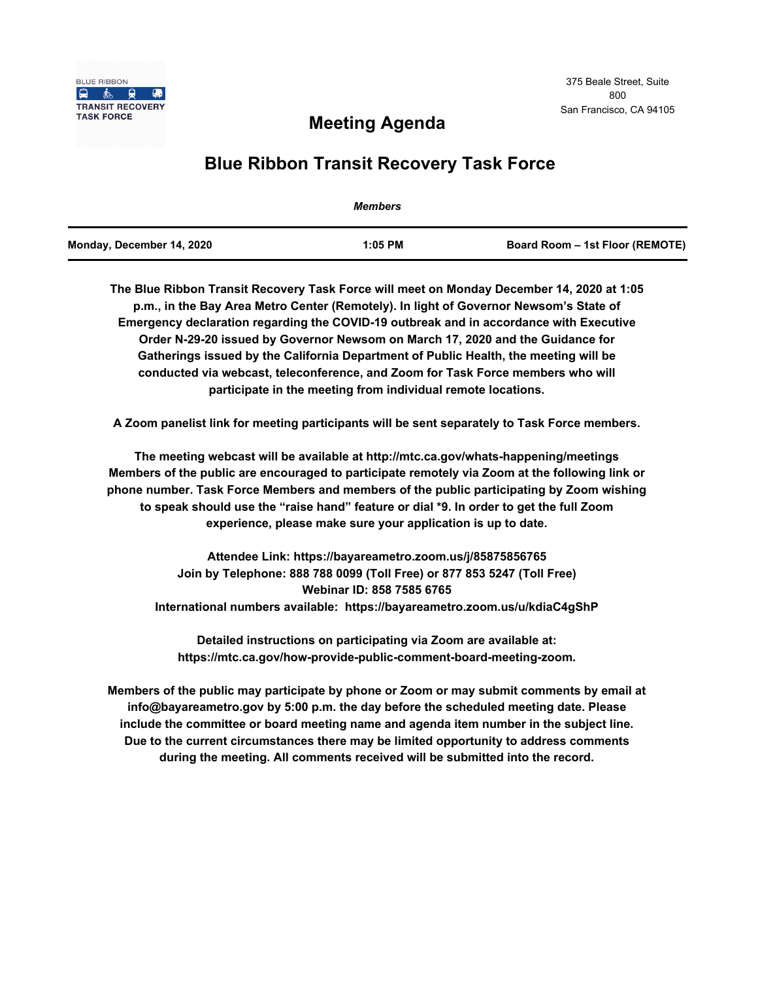

# **Meeting Agenda**

# **Blue Ribbon Transit Recovery Task Force**

|                           | <b>Members</b> |                                 |
|---------------------------|----------------|---------------------------------|
| Monday, December 14, 2020 | $1:05$ PM      | Board Room – 1st Floor (REMOTE) |

**The Blue Ribbon Transit Recovery Task Force will meet on Monday December 14, 2020 at 1:05 p.m., in the Bay Area Metro Center (Remotely). In light of Governor Newsom's State of Emergency declaration regarding the COVID-19 outbreak and in accordance with Executive Order N-29-20 issued by Governor Newsom on March 17, 2020 and the Guidance for Gatherings issued by the California Department of Public Health, the meeting will be conducted via webcast, teleconference, and Zoom for Task Force members who will participate in the meeting from individual remote locations.** 

**A Zoom panelist link for meeting participants will be sent separately to Task Force members.**

**The meeting webcast will be available at http://mtc.ca.gov/whats-happening/meetings Members of the public are encouraged to participate remotely via Zoom at the following link or phone number. Task Force Members and members of the public participating by Zoom wishing to speak should use the "raise hand" feature or dial \*9. In order to get the full Zoom experience, please make sure your application is up to date.**

**Attendee Link: https://bayareametro.zoom.us/j/85875856765 Join by Telephone: 888 788 0099 (Toll Free) or 877 853 5247 (Toll Free) Webinar ID: 858 7585 6765 International numbers available: https://bayareametro.zoom.us/u/kdiaC4gShP**

**Detailed instructions on participating via Zoom are available at: https://mtc.ca.gov/how-provide-public-comment-board-meeting-zoom.**

**Members of the public may participate by phone or Zoom or may submit comments by email at info@bayareametro.gov by 5:00 p.m. the day before the scheduled meeting date. Please include the committee or board meeting name and agenda item number in the subject line. Due to the current circumstances there may be limited opportunity to address comments during the meeting. All comments received will be submitted into the record.**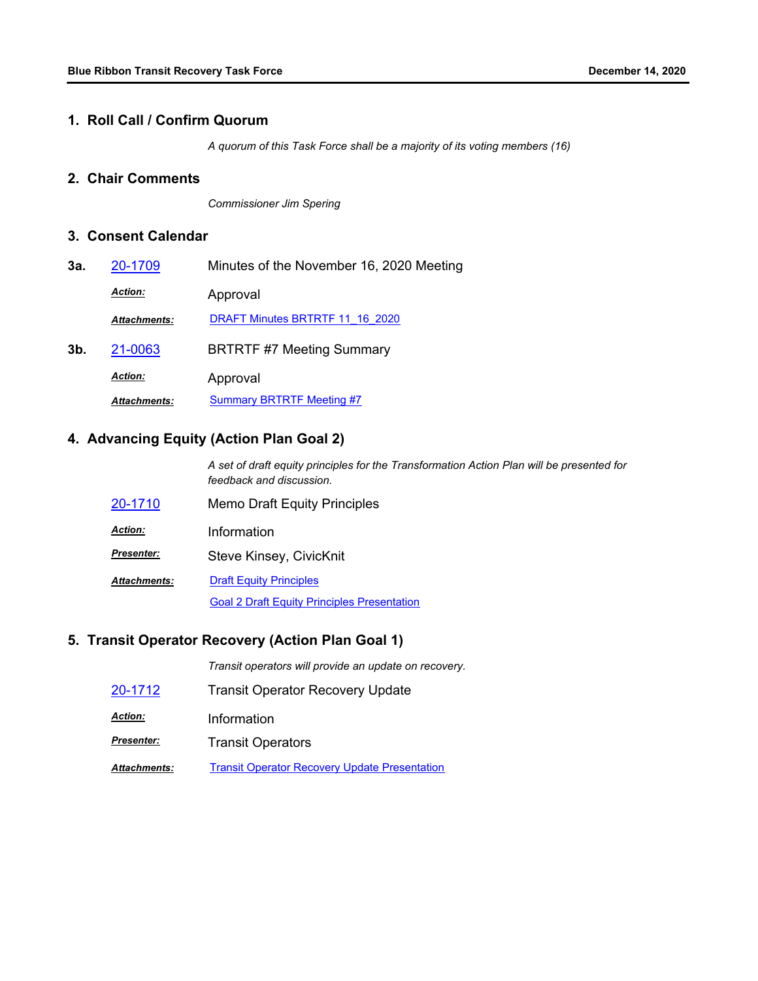#### **1. Roll Call / Confirm Quorum**

*A quorum of this Task Force shall be a majority of its voting members (16)*

## **2. Chair Comments**

*Commissioner Jim Spering*

#### **3. Consent Calendar**

| 3а. | 20-1709             | Minutes of the November 16, 2020 Meeting |
|-----|---------------------|------------------------------------------|
|     | <b>Action:</b>      | Approval                                 |
|     | <b>Attachments:</b> | DRAFT Minutes BRTRTF 11 16 2020          |
| 3b. | 21-0063             | <b>BRTRTF #7 Meeting Summary</b>         |
|     | <b>Action:</b>      | Approval                                 |
|     | <b>Attachments:</b> | <b>Summary BRTRTF Meeting #7</b>         |

# **4. Advancing Equity (Action Plan Goal 2)**

*A set of draft equity principles for the Transformation Action Plan will be presented for feedback and discussion.*

| 20-1710         | <b>Memo Draft Equity Principles</b>                |
|-----------------|----------------------------------------------------|
| <u> Action:</u> | Information                                        |
| Presenter:      | Steve Kinsey, CivicKnit                            |
| Attachments:    | <b>Draft Equity Principles</b>                     |
|                 | <b>Goal 2 Draft Equity Principles Presentation</b> |

#### **5. Transit Operator Recovery (Action Plan Goal 1)**

*Transit operators will provide an update on recovery.*

- [20-1712](http://mtc.legistar.com/gateway.aspx?m=l&id=/matter.aspx?key=21577) Transit Operator Recovery Update
- *Action:* Information
- **Presenter: Transit Operators**

**Attachments:** [Transit Operator Recovery Update Presentation](http://mtc.legistar.com/gateway.aspx?M=F&ID=f96f7fe0-7a3d-4f14-bafb-915e78343ece.pdf)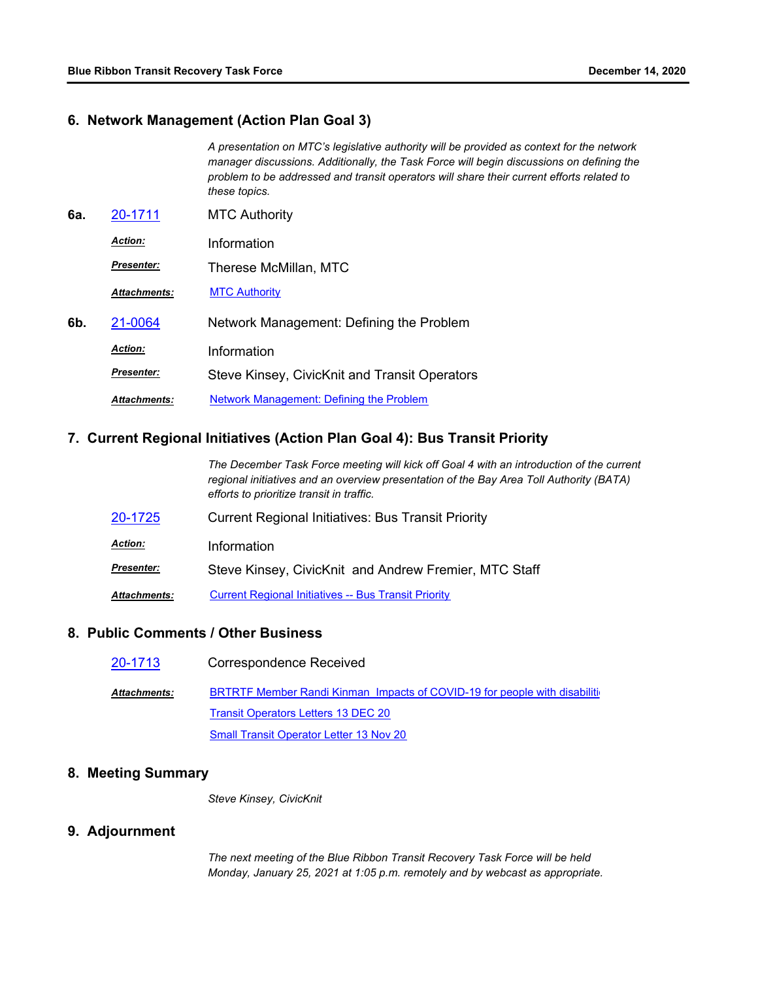#### **6. Network Management (Action Plan Goal 3)**

| A presentation on MTC's legislative authority will be provided as context for the network |
|-------------------------------------------------------------------------------------------|
| manager discussions. Additionally, the Task Force will begin discussions on defining the  |
| problem to be addressed and transit operators will share their current efforts related to |
| these topics.                                                                             |

**6a.** [20-1711](http://mtc.legistar.com/gateway.aspx?m=l&id=/matter.aspx?key=21576) MTC Authority *Action:* Information Therese McMillan, MTC *Presenter: Attachments:* [MTC Authority](http://mtc.legistar.com/gateway.aspx?M=F&ID=3ffc48e1-c6f0-4123-98ae-cdb84e06815c.pdf) **6b.** [21-0064](http://mtc.legistar.com/gateway.aspx?m=l&id=/matter.aspx?key=21657) Network Management: Defining the Problem *Action:* Information

Steve Kinsey, CivicKnit and Transit Operators *Presenter:*

*Attachments:* [Network Management: Defining the Problem](http://mtc.legistar.com/gateway.aspx?M=F&ID=988b49e0-6757-4fb9-bfea-d0fac47bac80.pdf)

#### **7. Current Regional Initiatives (Action Plan Goal 4): Bus Transit Priority**

|                | The December Task Force meeting will kick off Goal 4 with an introduction of the current<br>regional initiatives and an overview presentation of the Bay Area Toll Authority (BATA)<br>efforts to prioritize transit in traffic. |
|----------------|----------------------------------------------------------------------------------------------------------------------------------------------------------------------------------------------------------------------------------|
| 20-1725        | <b>Current Regional Initiatives: Bus Transit Priority</b>                                                                                                                                                                        |
| <b>Action:</b> | Information                                                                                                                                                                                                                      |

Steve Kinsey, CivicKnit and Andrew Fremier, MTC Staff *Presenter:*

*Attachments:* [Current Regional Initiatives -- Bus Transit Priority](http://mtc.legistar.com/gateway.aspx?M=F&ID=8c59ea42-bbf5-403a-a3fb-38482a5e6f3f.pdf)

# **8. Public Comments / Other Business**

| 20-1713             | <b>Correspondence Received</b>                                                    |
|---------------------|-----------------------------------------------------------------------------------|
| <b>Attachments:</b> | <b>BRTRTF Member Randi Kinman Impacts of COVID-19 for people with disabiliti-</b> |
|                     | <b>Transit Operators Letters 13 DEC 20</b>                                        |
|                     | <b>Small Transit Operator Letter 13 Nov 20</b>                                    |

## **8. Meeting Summary**

*Steve Kinsey, CivicKnit*

## **9. Adjournment**

*The next meeting of the Blue Ribbon Transit Recovery Task Force will be held Monday, January 25, 2021 at 1:05 p.m. remotely and by webcast as appropriate.*